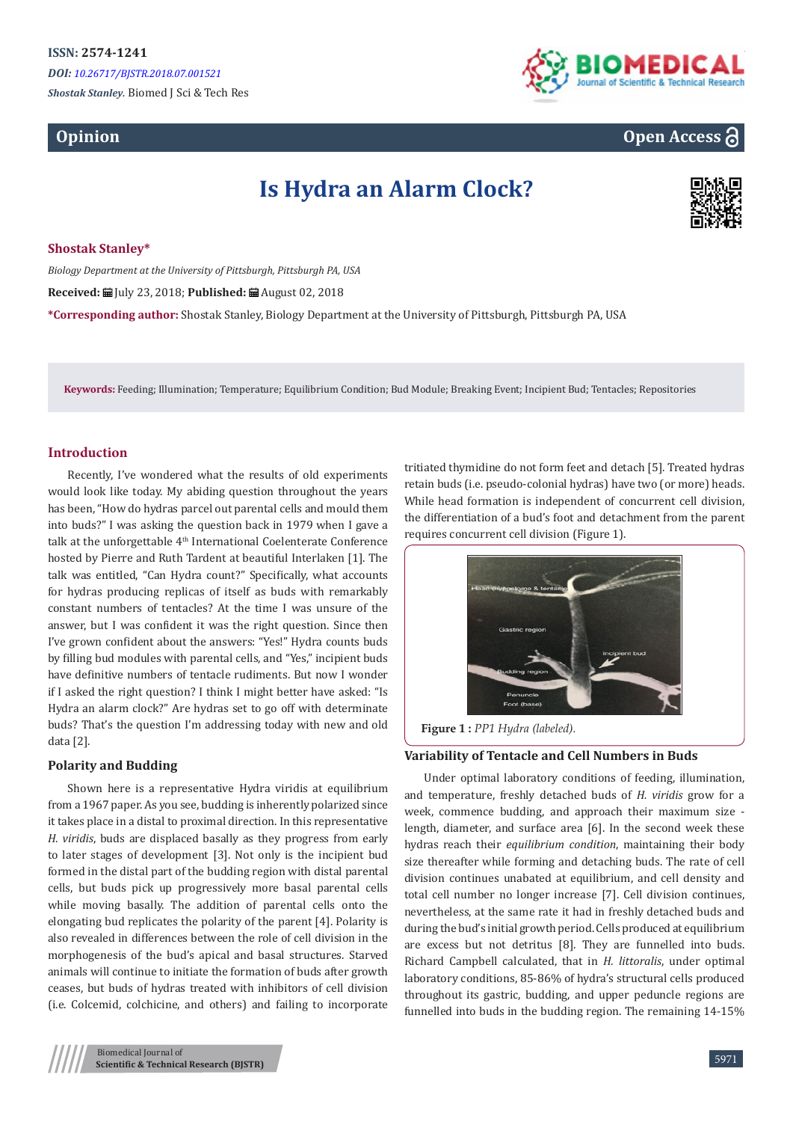*Shostak Stanley.* Biomed J Sci & Tech Res

## **Opinion**



# **Open Access**

# **Is Hydra an Alarm Clock?**



**Shostak Stanley\***

*Biology Department at the University of Pittsburgh, Pittsburgh PA, USA* **Received:** July 23, 2018; **Published:** August 02, 2018 **\*Corresponding author:** Shostak Stanley, Biology Department at the University of Pittsburgh, Pittsburgh PA, USA

**Keywords:** Feeding; Illumination; Temperature; Equilibrium Condition; Bud Module; Breaking Event; Incipient Bud; Tentacles; Repositories

### **Introduction**

Recently, I've wondered what the results of old experiments would look like today. My abiding question throughout the years has been, "How do hydras parcel out parental cells and mould them into buds?" I was asking the question back in 1979 when I gave a talk at the unforgettable 4<sup>th</sup> International Coelenterate Conference hosted by Pierre and Ruth Tardent at beautiful Interlaken [1]. The talk was entitled, "Can Hydra count?" Specifically, what accounts for hydras producing replicas of itself as buds with remarkably constant numbers of tentacles? At the time I was unsure of the answer, but I was confident it was the right question. Since then I've grown confident about the answers: "Yes!" Hydra counts buds by filling bud modules with parental cells, and "Yes," incipient buds have definitive numbers of tentacle rudiments. But now I wonder if I asked the right question? I think I might better have asked: "Is Hydra an alarm clock?" Are hydras set to go off with determinate buds? That's the question I'm addressing today with new and old data [2].

#### **Polarity and Budding**

Shown here is a representative Hydra viridis at equilibrium from a 1967 paper. As you see, budding is inherently polarized since it takes place in a distal to proximal direction. In this representative *H. viridis*, buds are displaced basally as they progress from early to later stages of development [3]. Not only is the incipient bud formed in the distal part of the budding region with distal parental cells, but buds pick up progressively more basal parental cells while moving basally. The addition of parental cells onto the elongating bud replicates the polarity of the parent [4]. Polarity is also revealed in differences between the role of cell division in the morphogenesis of the bud's apical and basal structures. Starved animals will continue to initiate the formation of buds after growth ceases, but buds of hydras treated with inhibitors of cell division (i.e. Colcemid, colchicine, and others) and failing to incorporate

tritiated thymidine do not form feet and detach [5]. Treated hydras retain buds (i.e. pseudo-colonial hydras) have two (or more) heads. While head formation is independent of concurrent cell division, the differentiation of a bud's foot and detachment from the parent requires concurrent cell division (Figure 1).



**Figure 1 :** *PP1 Hydra (labeled).*

#### **Variability of Tentacle and Cell Numbers in Buds**

Under optimal laboratory conditions of feeding, illumination, and temperature, freshly detached buds of *H. viridis* grow for a week, commence budding, and approach their maximum size length, diameter, and surface area [6]. In the second week these hydras reach their *equilibrium condition*, maintaining their body size thereafter while forming and detaching buds. The rate of cell division continues unabated at equilibrium, and cell density and total cell number no longer increase [7]. Cell division continues, nevertheless, at the same rate it had in freshly detached buds and during the bud's initial growth period. Cells produced at equilibrium are excess but not detritus [8]. They are funnelled into buds. Richard Campbell calculated, that in *H. littoralis*, under optimal laboratory conditions, 85-86% of hydra's structural cells produced throughout its gastric, budding, and upper peduncle regions are funnelled into buds in the budding region. The remaining 14-15%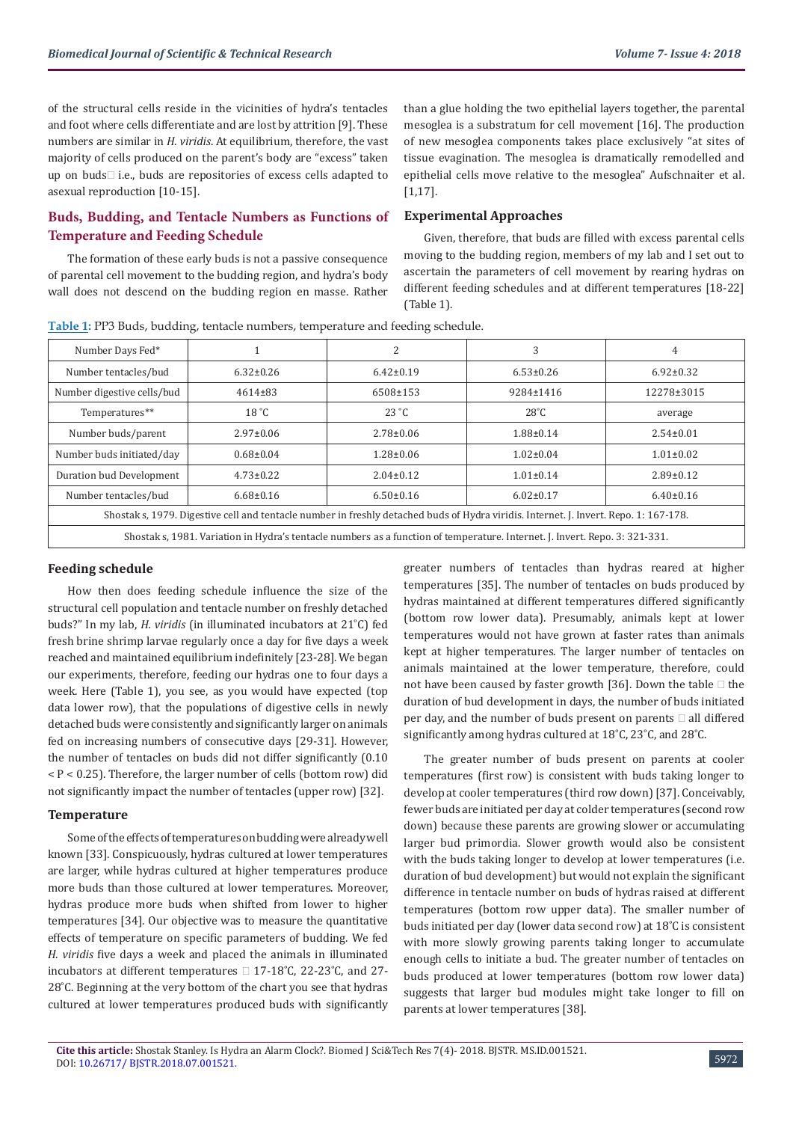of the structural cells reside in the vicinities of hydra's tentacles and foot where cells differentiate and are lost by attrition [9]. These numbers are similar in *H. viridis*. At equilibrium, therefore, the vast majority of cells produced on the parent's body are "excess" taken up on buds $\square$  i.e., buds are repositories of excess cells adapted to asexual reproduction [10-15].

## **Buds, Budding, and Tentacle Numbers as Functions of Temperature and Feeding Schedule**

The formation of these early buds is not a passive consequence of parental cell movement to the budding region, and hydra's body wall does not descend on the budding region en masse. Rather than a glue holding the two epithelial layers together, the parental mesoglea is a substratum for cell movement [16]. The production of new mesoglea components takes place exclusively "at sites of tissue evagination. The mesoglea is dramatically remodelled and epithelial cells move relative to the mesoglea" Aufschnaiter et al. [1,17].

#### **Experimental Approaches**

Given, therefore, that buds are filled with excess parental cells moving to the budding region, members of my lab and I set out to ascertain the parameters of cell movement by rearing hydras on different feeding schedules and at different temperatures [18-22] (Table 1).

|  |  | Table 1: PP3 Buds, budding, tentacle numbers, temperature and feeding schedule. |
|--|--|---------------------------------------------------------------------------------|
|--|--|---------------------------------------------------------------------------------|

| Number Days Fed*                                                                                                                      |                 | 2               | 3               | 4               |  |
|---------------------------------------------------------------------------------------------------------------------------------------|-----------------|-----------------|-----------------|-----------------|--|
| Number tentacles/bud                                                                                                                  | $6.32 \pm 0.26$ | $6.42 \pm 0.19$ | $6.53 \pm 0.26$ | $6.92 \pm 0.32$ |  |
| Number digestive cells/bud                                                                                                            | $4614\pm83$     | $6508 \pm 153$  | $9284 \pm 1416$ | 12278±3015      |  |
| Temperatures**                                                                                                                        | 18 °C           | $23 \degree C$  | $28^{\circ}$ C  | average         |  |
| Number buds/parent                                                                                                                    | $2.97 \pm 0.06$ | $2.78 \pm 0.06$ | $1.88 \pm 0.14$ | $2.54 \pm 0.01$ |  |
| Number buds initiated/day                                                                                                             | $0.68 \pm 0.04$ | $1.28 \pm 0.06$ | $1.02 \pm 0.04$ | $1.01 \pm 0.02$ |  |
| Duration bud Development                                                                                                              | $4.73 \pm 0.22$ | $2.04 \pm 0.12$ | $1.01 \pm 0.14$ | $2.89 \pm 0.12$ |  |
| Number tentacles/bud                                                                                                                  | $6.68 \pm 0.16$ | $6.50\pm0.16$   | $6.02 \pm 0.17$ | $6.40\pm0.16$   |  |
| Shostak s, 1979. Digestive cell and tentacle number in freshly detached buds of Hydra viridis. Internet. J. Invert. Repo. 1: 167-178. |                 |                 |                 |                 |  |
| Shostak s, 1981. Variation in Hydra's tentacle numbers as a function of temperature. Internet. J. Invert. Repo. 3: 321-331.           |                 |                 |                 |                 |  |

#### **Feeding schedule**

How then does feeding schedule influence the size of the structural cell population and tentacle number on freshly detached buds?" In my lab, *H. viridis* (in illuminated incubators at 21˚C) fed fresh brine shrimp larvae regularly once a day for five days a week reached and maintained equilibrium indefinitely [23-28]. We began our experiments, therefore, feeding our hydras one to four days a week. Here (Table 1), you see, as you would have expected (top data lower row), that the populations of digestive cells in newly detached buds were consistently and significantly larger on animals fed on increasing numbers of consecutive days [29-31]. However, the number of tentacles on buds did not differ significantly (0.10  $P < 0.25$ ). Therefore, the larger number of cells (bottom row) did not significantly impact the number of tentacles (upper row) [32].

#### **Temperature**

Some of the effects of temperatures on budding were already well known [33]. Conspicuously, hydras cultured at lower temperatures are larger, while hydras cultured at higher temperatures produce more buds than those cultured at lower temperatures. Moreover, hydras produce more buds when shifted from lower to higher temperatures [34]. Our objective was to measure the quantitative effects of temperature on specific parameters of budding. We fed *H. viridis* five days a week and placed the animals in illuminated incubators at different temperatures  $\Box$  17-18°C, 22-23°C, and 27-28˚C. Beginning at the very bottom of the chart you see that hydras cultured at lower temperatures produced buds with significantly

greater numbers of tentacles than hydras reared at higher temperatures [35]. The number of tentacles on buds produced by hydras maintained at different temperatures differed significantly (bottom row lower data). Presumably, animals kept at lower temperatures would not have grown at faster rates than animals kept at higher temperatures. The larger number of tentacles on animals maintained at the lower temperature, therefore, could not have been caused by faster growth [36]. Down the table  $\Box$  the duration of bud development in days, the number of buds initiated per day, and the number of buds present on parents  $\Box$  all differed significantly among hydras cultured at 18˚C, 23˚C, and 28˚C.

The greater number of buds present on parents at cooler temperatures (first row) is consistent with buds taking longer to develop at cooler temperatures (third row down) [37]. Conceivably, fewer buds are initiated per day at colder temperatures (second row down) because these parents are growing slower or accumulating larger bud primordia. Slower growth would also be consistent with the buds taking longer to develop at lower temperatures (i.e. duration of bud development) but would not explain the significant difference in tentacle number on buds of hydras raised at different temperatures (bottom row upper data). The smaller number of buds initiated per day (lower data second row) at 18˚C is consistent with more slowly growing parents taking longer to accumulate enough cells to initiate a bud. The greater number of tentacles on buds produced at lower temperatures (bottom row lower data) suggests that larger bud modules might take longer to fill on parents at lower temperatures [38].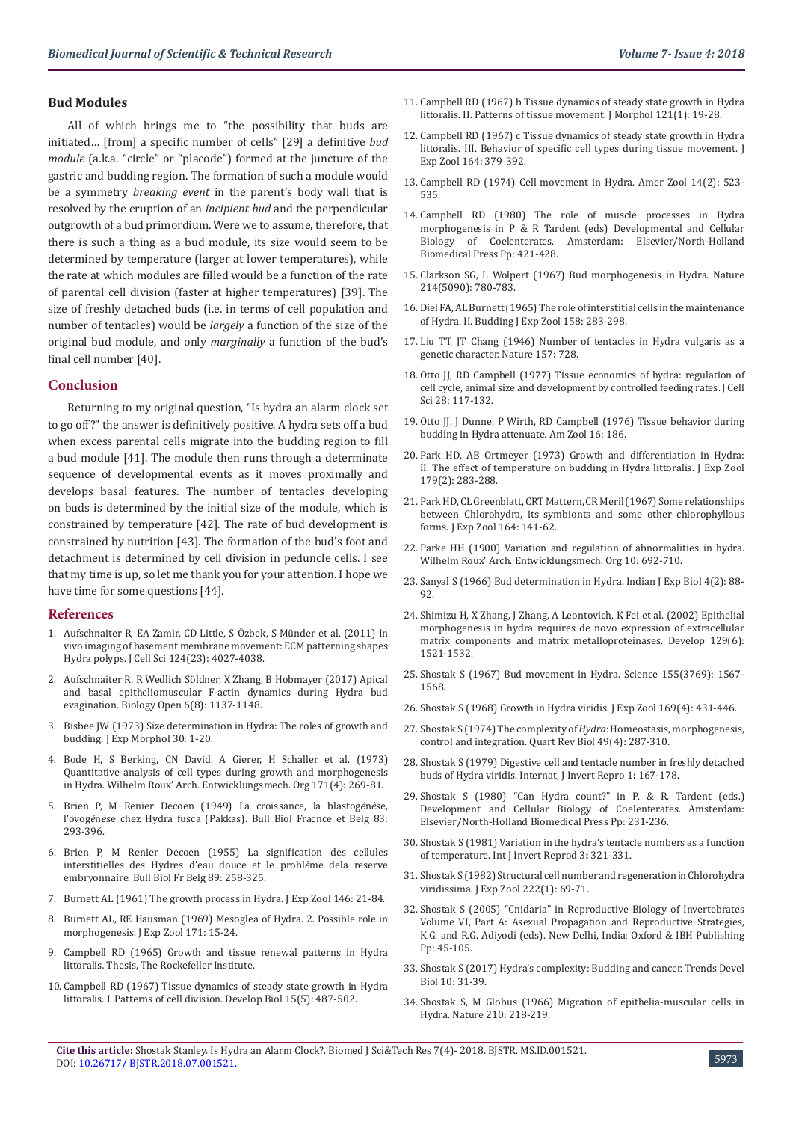#### **Bud Modules**

All of which brings me to "the possibility that buds are initiated… [from] a specific number of cells" [29] a definitive *bud module* (a.k.a. "circle" or "placode") formed at the juncture of the gastric and budding region. The formation of such a module would be a symmetry *breaking event* in the parent's body wall that is resolved by the eruption of an *incipient bud* and the perpendicular outgrowth of a bud primordium. Were we to assume, therefore, that there is such a thing as a bud module, its size would seem to be determined by temperature (larger at lower temperatures), while the rate at which modules are filled would be a function of the rate of parental cell division (faster at higher temperatures) [39]. The size of freshly detached buds (i.e. in terms of cell population and number of tentacles) would be *largely* a function of the size of the original bud module, and only *marginally* a function of the bud's final cell number [40].

#### **Conclusion**

Returning to my original question, "Is hydra an alarm clock set to go off?" the answer is definitively positive. A hydra sets off a bud when excess parental cells migrate into the budding region to fill a bud module [41]. The module then runs through a determinate sequence of developmental events as it moves proximally and develops basal features. The number of tentacles developing on buds is determined by the initial size of the module, which is constrained by temperature [42]. The rate of bud development is constrained by nutrition [43]. The formation of the bud's foot and detachment is determined by cell division in peduncle cells. I see that my time is up, so let me thank you for your attention. I hope we have time for some questions [44].

#### **References**

- 1. [Aufschnaiter R, EA Zamir, CD Little, S Özbek, S Münder et al. \(2011\) In](https://www.ncbi.nlm.nih.gov/pubmed/22194305)  [vivo imaging of basement membrane movement: ECM patterning shapes](https://www.ncbi.nlm.nih.gov/pubmed/22194305)  [Hydra polyps. J Cell Sci 124\(23\): 4027-4038.](https://www.ncbi.nlm.nih.gov/pubmed/22194305)
- 2. [Aufschnaiter R, R Wedlich Söldner, X Zhang, B Hobmayer \(2017\) Apical](https://www.ncbi.nlm.nih.gov/pubmed/28630355)  [and basal epitheliomuscular F-actin dynamics during Hydra](https://www.ncbi.nlm.nih.gov/pubmed/28630355) bud [evagination. Biology Open 6\(8\): 1137-1148.](https://www.ncbi.nlm.nih.gov/pubmed/28630355)
- 3. [Bisbee JW \(1973\) Size determination in Hydra: The roles of growth and](https://www.ncbi.nlm.nih.gov/pubmed/4729946)  [budding. J Exp Morphol 30: 1-20.](https://www.ncbi.nlm.nih.gov/pubmed/4729946)
- 4. [Bode H, S Berking, CN David, A Gierer, H Schaller et al. \(1973\)](https://www.ncbi.nlm.nih.gov/pubmed/28304608)  [Quantitative analysis of cell types during growth and morphogenesis](https://www.ncbi.nlm.nih.gov/pubmed/28304608)  [in Hydra. Wilhelm Roux' Arch. Entwicklungsmech. Org](https://www.ncbi.nlm.nih.gov/pubmed/28304608) 171(4): 269-81.
- 5. [Brien P, M Renier Decoen \(1949\) La croissance, la blastog](http://difusion.ulb.ac.be/vufind/Record/ULB-DIPOT:oai:dipot.ulb.ac.be:2013/269244/Details)*é*n*è*se, l'ovog*é*n*è*se chez Hydra fusca [\(Pakkas\). Bull Biol Fracnce et Belg 83:](http://difusion.ulb.ac.be/vufind/Record/ULB-DIPOT:oai:dipot.ulb.ac.be:2013/269244/Details)  [293-396.](http://difusion.ulb.ac.be/vufind/Record/ULB-DIPOT:oai:dipot.ulb.ac.be:2013/269244/Details)
- 6. [Brien P, M Renier Decoen \(1955\) La signification des cellules](http://difusion.ulb.ac.be/vufind/Record/ULB-DIPOT:oai:dipot.ulb.ac.be:2013/269244/Details)  [interstitielles des Hydres d'eau douce et le probl](http://difusion.ulb.ac.be/vufind/Record/ULB-DIPOT:oai:dipot.ulb.ac.be:2013/269244/Details)*è*me dela reserve [embryonnaire. Bull Biol Fr Belg](http://difusion.ulb.ac.be/vufind/Record/ULB-DIPOT:oai:dipot.ulb.ac.be:2013/269244/Details) 89: 258-325.
- 7. [Burnett AL \(1961\) The growth process in Hydra. J Exp Zool 146: 21-84.](https://onlinelibrary.wiley.com/doi/abs/10.1002/jez.1401460105)
- 8. [Burnett AL, RE Hausman \(1969\) Mesoglea of Hydra. 2. Possible role in](https://onlinelibrary.wiley.com/doi/abs/10.1002/jez.1401710104)  [morphogenesis. J Exp Zool 171: 15-24.](https://onlinelibrary.wiley.com/doi/abs/10.1002/jez.1401710104)
- 9. Campbell RD (1965) Growth and tissue renewal patterns in Hydra littoralis*.* Thesis, The Rockefeller Institute.
- 10. [Campbell RD \(1967\) Tissue dynamics of steady state growth in Hydra](https://www.ncbi.nlm.nih.gov/pubmed/4382248)  [littoralis. I. Patterns of cell division. Develop Biol 15\(5\): 487-502.](https://www.ncbi.nlm.nih.gov/pubmed/4382248)
- 11. [Campbell RD \(1967\) b Tissue dynamics of steady state growth in Hydra](https://www.ncbi.nlm.nih.gov/pubmed/4166265) [littoralis. II. Patterns of tissue movement. J Morphol 121\(1\): 19-28.](https://www.ncbi.nlm.nih.gov/pubmed/4166265)
- 12. [Campbell RD \(1967\) c Tissue dynamics of steady state growth in Hydra](https://onlinelibrary.wiley.com/doi/pdf/10.1002/jez.1401640308) [littoralis. III. Behavior of specific cell types during tissue movement. J](https://onlinelibrary.wiley.com/doi/pdf/10.1002/jez.1401640308) [Exp Zool 164: 379-392.](https://onlinelibrary.wiley.com/doi/pdf/10.1002/jez.1401640308)
- 13. [Campbell RD \(1974\) Cell movement in Hydra. Amer Zool 14\(2\): 523-](https://www.researchgate.net/publication/31421543_Cell_Movements_in_Hydra) [535.](https://www.researchgate.net/publication/31421543_Cell_Movements_in_Hydra)
- 14. Campbell RD (1980) The role of muscle processes in Hydra morphogenesis in P & R Tardent (eds) Developmental and Cellular<br>Biology of Coelenterates. Amsterdam: Elsevier/North-Holland Amsterdam: Elsevier/North-Holland Biomedical Press Pp: 421-428.
- 15. [Clarkson SG, L Wolpert \(1967\) Bud morphogenesis in Hydra. Nature](https://www.ncbi.nlm.nih.gov/pubmed/4383156) [214\(5090\): 780-783.](https://www.ncbi.nlm.nih.gov/pubmed/4383156)
- 16. [Diel FA, AL Burnett \(1965\) The role of interstitial cells in the maintenance](https://www.ncbi.nlm.nih.gov/pubmed/14327194) [of Hydra. II. Budding J Exp Zool](https://www.ncbi.nlm.nih.gov/pubmed/14327194) 158: 283-298.
- 17. [Liu TT, JT Chang \(1946\) Number of tentacles in Hydra vulgaris as a](https://www.nature.com/articles/157728b0) [genetic character. Nature](https://www.nature.com/articles/157728b0) 157: 728.
- 18. [Otto JJ, RD Campbell \(1977\) Tissue economics of hydra: regulation of](https://www.ncbi.nlm.nih.gov/pubmed/599169) [cell cycle, animal size and development by controlled feeding rates. J Cell](https://www.ncbi.nlm.nih.gov/pubmed/599169) [Sci 28: 117-132.](https://www.ncbi.nlm.nih.gov/pubmed/599169)
- 19. Otto JJ, J Dunne, P Wirth, RD Campbell (1976) Tissue behavior during budding in Hydra attenuate*.* Am Zool 16: 186.
- 20. [Park HD, AB Ortmeyer \(1973\) Growth and differentiation in Hydra:](https://www.researchgate.net/publication/240322869_Growth_and_differentiation_in_Hydra_II_The_effect_of_temperature_on_budding_in_Hydra_littoralis) [II. The effect of temperature on budding in Hydra littoralis. J Exp Zool](https://www.researchgate.net/publication/240322869_Growth_and_differentiation_in_Hydra_II_The_effect_of_temperature_on_budding_in_Hydra_littoralis) [179\(2\): 283-288.](https://www.researchgate.net/publication/240322869_Growth_and_differentiation_in_Hydra_II_The_effect_of_temperature_on_budding_in_Hydra_littoralis)
- 21. [Park HD, CL Greenblatt, CRT Mattern, CR Meril \(1967\) Some relationships](https://www.researchgate.net/publication/229604790_Some_relationships_between_Chlorohydra_its_symbionts_and_some_other_chlorophyllous_forms) [between Chlorohydra, its symbionts and some other chlorophyllous](https://www.researchgate.net/publication/229604790_Some_relationships_between_Chlorohydra_its_symbionts_and_some_other_chlorophyllous_forms) [forms. J Exp Zool](https://www.researchgate.net/publication/229604790_Some_relationships_between_Chlorohydra_its_symbionts_and_some_other_chlorophyllous_forms) 164: 141-62.
- 22. Parke HH (1900) Variation and regulation of abnormalities in hydra. Wilhelm Roux' Arch. Entwicklungsmech. Org 10: 692-710.
- 23. [Sanyal S \(1966\) Bud determination in Hydra. Indian J Exp Biol](https://www.ncbi.nlm.nih.gov/pubmed/4380200) 4(2): 88- [92.](https://www.ncbi.nlm.nih.gov/pubmed/4380200)
- 24. [Shimizu H, X Zhang, J Zhang, A Leontovich, K Fei et al. \(2002\) Epithelial](https://www.ncbi.nlm.nih.gov/pubmed/11880360) [morphogenesis in hydra requires de novo expression of extracellular](https://www.ncbi.nlm.nih.gov/pubmed/11880360) [matrix components and matrix metalloproteinases.](https://www.ncbi.nlm.nih.gov/pubmed/11880360) Develop 129(6): [1521-1532.](https://www.ncbi.nlm.nih.gov/pubmed/11880360)
- 25. [Shostak S \(1967\) Bud movement in Hydra. Science](https://www.ncbi.nlm.nih.gov/pubmed/17830051) 155(3769): 1567- [1568.](https://www.ncbi.nlm.nih.gov/pubmed/17830051)
- 26. [Shostak S \(1968\) Growth in Hydra viridis. J Exp Zool 169\(4\): 431-446.](https://www.researchgate.net/publication/230018305_Growth_in_Hydra_viridis)
- 27. [Shostak S \(1974\) The complexity of](https://www.ncbi.nlm.nih.gov/pubmed/4462143) *Hydra*: Homeostasis, morphogenesis, [control and integration. Quart Rev Biol](https://www.ncbi.nlm.nih.gov/pubmed/4462143) 49(4)**:** 287-310.
- 28. [Shostak S \(1979\) Digestive cell and tentacle number in freshly detached](https://www.tandfonline.com/doi/abs/10.1080/01651269.1979.10553311) buds of [Hydra viridis. Internat, J Invert Repro](https://www.tandfonline.com/doi/abs/10.1080/01651269.1979.10553311) 1**:** 167-178.
- 29. Shostak S (1980) "Can Hydra count?" in P. & R. Tardent (eds.) Development and Cellular Biology of Coelenterates. Amsterdam: Elsevier/North-Holland Biomedical Press Pp: 231-236.
- 30. [Shostak S \(1981\) Variation in the hydra's tentacle numbers as a function](https://www.researchgate.net/publication/261643926_Variation_in_hydra%27s_tentacle_numbers_as_a_function_of_temperature) of temperature. [Int J Invert Reprod 3](https://www.researchgate.net/publication/261643926_Variation_in_hydra%27s_tentacle_numbers_as_a_function_of_temperature)**:** 321-331.
- 31. [Shostak S \(1982\) Structural cell number and regeneration in Chlorohydra](https://www.researchgate.net/publication/230259536_Structural_cell_number_and_regeneration_in_Chlorohydra_viridissima) viridissima*.* [J Exp Zool 222\(1\): 69-71.](https://www.researchgate.net/publication/230259536_Structural_cell_number_and_regeneration_in_Chlorohydra_viridissima)
- 32. [Shostak S \(2005\) "Cnidaria" in Reproductive Biology of Invertebrates](https://www.researchgate.net/publication/227982250_Cnidaria_Coelenterates) [Volume VI, Part A: Asexual Propagation and Reproductive Strategies,](https://www.researchgate.net/publication/227982250_Cnidaria_Coelenterates) [K.G. and R.G. Adiyodi \(eds\). New Delhi, India: Oxford & IBH Publishing](https://www.researchgate.net/publication/227982250_Cnidaria_Coelenterates) [Pp: 45-105.](https://www.researchgate.net/publication/227982250_Cnidaria_Coelenterates)
- 33. [Shostak S \(2017\) Hydra's complexity: Budding and cancer. Trends Devel](http://www.researchtrends.net/tia/article_pdf.asp?in=0&vn=10&tid=49&aid=6022) [Biol 10: 31-39.](http://www.researchtrends.net/tia/article_pdf.asp?in=0&vn=10&tid=49&aid=6022)
- 34. Shostak S, M Globus (1966) Migration of epithelia-muscular cells in Hydra. Nature 210: 218-219.